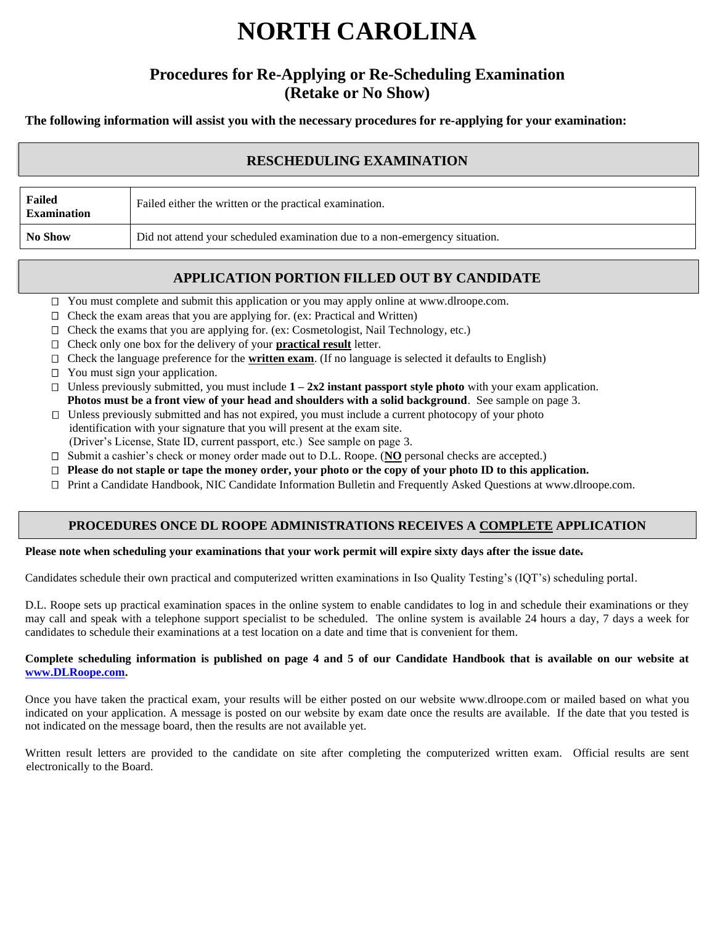# **NORTH CAROLINA**

# **Procedures for Re-Applying or Re-Scheduling Examination (Retake or No Show)**

**The following information will assist you with the necessary procedures for re-applying for your examination:**

# **RESCHEDULING EXAMINATION**

| Failed<br><b>Examination</b> | Failed either the written or the practical examination.                     |
|------------------------------|-----------------------------------------------------------------------------|
| <b>No Show</b>               | Did not attend your scheduled examination due to a non-emergency situation. |

# **APPLICATION PORTION FILLED OUT BY CANDIDATE**

□ You must complete and submit this application or you may apply online at www.dlroope.com.

- $\Box$  Check the exam areas that you are applying for. (ex: Practical and Written)
- □ Check the exams that you are applying for. (ex: Cosmetologist, Nail Technology, etc.)
- □ Check only one box for the delivery of your **practical result** letter.
- Check the language preference for the **written exam**. (If no language is selected it defaults to English)
- □ You must sign your application.
- Unless previously submitted, you must include **1 – 2x2 instant passport style photo** with your exam application.  **Photos must be a front view of your head and shoulders with a solid background**. See sample on page 3.
- $\Box$  Unless previously submitted and has not expired, you must include a current photocopy of your photo identification with your signature that you will present at the exam site.
- (Driver's License, State ID, current passport, etc.) See sample on page 3.
- □ Submit a cashier's check or money order made out to D.L. Roope. (NO personal checks are accepted.)
- **Please do not staple or tape the money order, your photo or the copy of your photo ID to this application.**
- Print a Candidate Handbook, NIC Candidate Information Bulletin and Frequently Asked Questions at www.dlroope.com.

#### **PROCEDURES ONCE DL ROOPE ADMINISTRATIONS RECEIVES A COMPLETE APPLICATION**

#### **Please note when scheduling your examinations that your work permit will expire sixty days after the issue date.**

Candidates schedule their own practical and computerized written examinations in Iso Quality Testing's (IQT's) scheduling portal.

D.L. Roope sets up practical examination spaces in the online system to enable candidates to log in and schedule their examinations or they may call and speak with a telephone support specialist to be scheduled. The online system is available 24 hours a day, 7 days a week for candidates to schedule their examinations at a test location on a date and time that is convenient for them.

#### **Complete scheduling information is published on page 4 and 5 of our Candidate Handbook that is available on our website at www.DLRoope.com.**

Once you have taken the practical exam, your results will be either posted on our website www.dlroope.com or mailed based on what you indicated on your application. A message is posted on our website by exam date once the results are available. If the date that you tested is not indicated on the message board, then the results are not available yet.

Written result letters are provided to the candidate on site after completing the computerized written exam. Official results are sent electronically to the Board.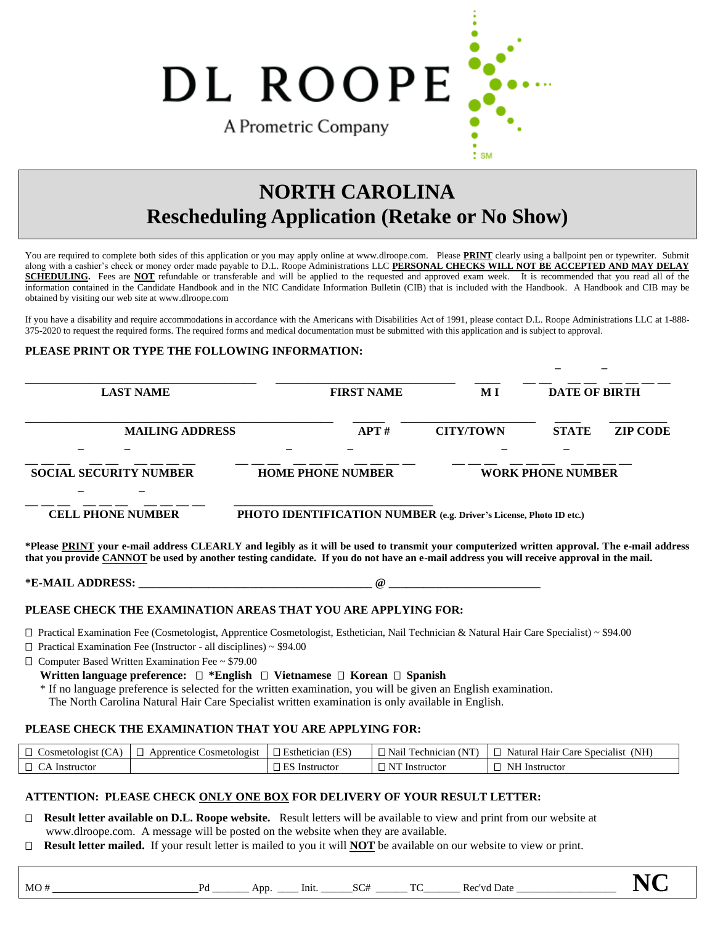DL ROOPE A Prometric Company

# **NORTH CAROLINA Rescheduling Application (Retake or No Show)**

 $\ddot{ }$  SM

You are required to complete both sides of this application or you may apply online at www.dlroope.com. Please **PRINT** clearly using a ballpoint pen or typewriter. Submit along with a cashier's check or money order made payable to D.L. Roope Administrations LLC **PERSONAL CHECKS WILL NOT BE ACCEPTED AND MAY DELAY**  SCHEDULING. Fees are NOT refundable or transferable and will be applied to the requested and approved exam week. It is recommended that you read all of the information contained in the Candidate Handbook and in the NIC Candidate Information Bulletin (CIB) that is included with the Handbook. A Handbook and CIB may be obtained by visiting our web site at www.dlroope.com

If you have a disability and require accommodations in accordance with the Americans with Disabilities Act of 1991, please contact D.L. Roope Administrations LLC at 1-888- 375-2020 to request the required forms. The required forms and medical documentation must be submitted with this application and is subject to approval.

 **\_ \_**

#### **PLEASE PRINT OR TYPE THE FOLLOWING INFORMATION:**

| <b>LAST NAME</b>                                                                                                                                                                                                                                                                         | <b>FIRST NAME</b>                                                  | M I                      | <b>DATE OF BIRTH</b>            |  |
|------------------------------------------------------------------------------------------------------------------------------------------------------------------------------------------------------------------------------------------------------------------------------------------|--------------------------------------------------------------------|--------------------------|---------------------------------|--|
| <b>MAILING ADDRESS</b>                                                                                                                                                                                                                                                                   | APT#                                                               | <b>CITY/TOWN</b>         | <b>ZIP CODE</b><br><b>STATE</b> |  |
|                                                                                                                                                                                                                                                                                          |                                                                    |                          |                                 |  |
| <b>SOCIAL SECURITY NUMBER</b>                                                                                                                                                                                                                                                            | <b>HOME PHONE NUMBER</b>                                           | <b>WORK PHONE NUMBER</b> |                                 |  |
|                                                                                                                                                                                                                                                                                          |                                                                    |                          |                                 |  |
| <b>CELL PHONE NUMBER</b>                                                                                                                                                                                                                                                                 | PHOTO IDENTIFICATION NUMBER (e.g. Driver's License, Photo ID etc.) |                          |                                 |  |
| *Please PRINT your e-mail address CLEARLY and legibly as it will be used to transmit your computerized written approval. The e-mail address<br>that you provide CANNOT be used by another testing candidate. If you do not have an e-mail address you will receive approval in the mail. |                                                                    |                          |                                 |  |
|                                                                                                                                                                                                                                                                                          |                                                                    |                          |                                 |  |
| PLEASE CHECK THE EXAMINATION AREAS THAT YOU ARE APPLYING FOR:                                                                                                                                                                                                                            |                                                                    |                          |                                 |  |
| $\Box$ Practical Examination Fee (Cosmetologist, Apprentice Cosmetologist, Esthetician, Nail Technician & Natural Hair Care Specialist) ~ \$94.00                                                                                                                                        |                                                                    |                          |                                 |  |

□ Practical Examination Fee (Instructor - all disciplines) ~ \$94.00

Computer Based Written Examination Fee ~ \$79.00

 **Written language preference:**  $\Box$  \*English  $\Box$  Vietnamese  $\Box$  Korean  $\Box$  Spanish

\* If no language preference is selected for the written examination, you will be given an English examination.

The North Carolina Natural Hair Care Specialist written examination is only available in English.

#### **PLEASE CHECK THE EXAMINATION THAT YOU ARE APPLYING FOR:**

| $\Box$<br>$\sim$<br>:osmetologist   | . :osmetologist<br>Apprentice | (ES)<br>Esthetician | <b>NIT)</b><br>i echnician<br>Nan | (NH)<br>Natural<br>Specialist<br>Hair<br>care |
|-------------------------------------|-------------------------------|---------------------|-----------------------------------|-----------------------------------------------|
| $\Box$<br>$\sim$<br>Instructor<br>∟ |                               | Instructor          | T<br>Instructor                   | NI<br>Instructo.                              |

#### **ATTENTION: PLEASE CHECK ONLY ONE BOX FOR DELIVERY OF YOUR RESULT LETTER:**

- **Result letter available on D.L. Roope website.** Result letters will be available to view and print from our website at www.dlroope.com. A message will be posted on the website when they are available.
- **Result letter mailed.** If your result letter is mailed to you it will **NOT** be available on our website to view or print.

MO # Pd \_\_\_\_\_\_\_ App. \_\_\_\_ Init. \_\_\_\_\_\_SC# \_\_\_\_\_\_ TC\_\_\_\_\_\_\_ Rec'vd Date \_\_\_\_\_\_\_\_\_\_\_\_\_\_\_\_\_\_\_ **NC**